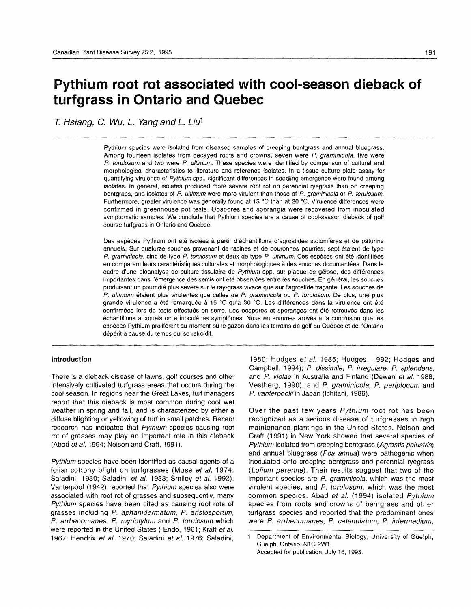# **pythium root rot associated with cool-season dieback of turfgrass in Ontario and Quebec**

*T. Hsiang, C. Wu, L. Yang and L. Liu<sup>1</sup>* 

Pythium species were isolated from diseased samples of creeping bentgrass and annual bluegrass. Among fourteen isolates from decayed roots and crowns, seven were  $P$ . graminicola, five were P. torulosum and two were P. ultimum. These species were identified by comparison of cultural and morphological characteristics to literature and reference isolates. In a tissue culture plate assay for quantifying virulence of Pythium spp., significant differences in seedling emergence were found among isolates. In general, isolates produced more severe root rot on perennial ryegrass than on creeping bent grass, and isolates of P. ultimum were more virulent than those of P. graminicola or P. torulosum. Furthermore, greater virulence was generally found at 15°C than at 30 "C. Virulence differences were confirmed in greenhouse pot tests. Oospores and sporangia were recovered from inoculated symptomatic samples. We conclude that Pythium species are a cause of cool-season dieback of golf course turfgrass in Ontario and Quebec.

Des espèces Pythium ont été isolées à partir d'échantillons d'agrostides stolonifères et de pâturins annuels. Sur quatorze souches provenant de racines et de couronnes pourries, sept étaient de type P. graminicola, cinq de type P. torulosum et deux de type P. ultimum. Ces espèces ont été identifiées en comparant leurs caractéristiques culturales et morphologiques à des souches documentées. Dans le cadre d'une bioanalyse de culture tissulaire de Pythium spp. sur plaque de gélose, des différences importantes dans l'émergence des semis ont été observées entre les souches. En général, les souches produisent un pourridié plus sévère sur le ray-grass vivace que sur l'agrostide traçante. Les souches de P. ultimum etaient plus virulentes que celles de P. graminicola ou P. torulosum. De plus, une plus grande virulence a été remarquée à 15 °C qu'à 30 °C. Les différences dans la virulence ont été confirmées lors de tests effectués en serre. Les oospores et sporanges ont été retrouvés dans les echantillons auxquels on a inocule les symptomes. Nous en sommes arrives a la conclusion que les espèces Pythium prolifèrent au moment où le gazon dans les terrains de golf du Québec et de l'Ontario dépérit à cause du temps qui se refroidit.

## **Introduction**

There is a dieback disease of lawns, golf courses and other intensively cultivated turfgrass areas that occurs during the cool season. In regions near the Great Lakes, turf managers report that this dieback is most common during cool wet weather in spring and fall, and is characterized by either a diffuse blighting or yellowing of turf in small patches. Recent research has indicated that Pythium species causing root rot of grasses may play an important role in this dieback (Abad et al. 1994; Nelson and Craft, 1991).

Pythium species have been identified as causal agents of a foliar cottony blight on turfgrasses (Muse et al. 1974; Saladini, 1980; Saladini et al. 1983; Smiley et al. 1992). Vanterpool (1942) reported that Pythium species also were associated with root rot of grasses and subsequently, many Pythium species have been cited as causing root rots of grasses including P. aphanidermatum, P. aristosporum, P. arrhenomanes, P. myriotylum and P. torulosum which were reported in the United States ( Endo, 1961; Kraft et al. 1967; Hendrix et al. 1970; Saladini et al. 1976; Saladini, 1980; Hodges et al. 1985; Hodges, 1992; Hodges and Campbell, 1994); P. dissimile, P. irregulare, P. splendens, and P. violae in Australia and Finland (Dewan et al. 1988; Vestberg, 1990); and P. graminicola, P. periptocum and P. vanterpoolii in Japan (Ichitani, 1986).

Over the past few years Pythium root rot has been recognized as a serious disease of turfgrasses in high maintenance plantings in the United States. Nelson and Craft (1991) in New York showed that several species of Pythium isolated from creeping bentgrass (Agrostis palustris) and annual bluegrass (Poa annua) were pathogenic when inoculated onto creeping bentgrass and perennial ryegrass (Lolium perenne). Their results suggest that two of the important species are P. graminicola, which was the most virulent species, and P. torufosum, which was the most common species. Abad et al. (1994) isolated Pythium species from roots and crowns of bentgrass and other turfgrass species and reported that the predominant ones were P. arrhenomanes, P. catenulatum, P. intermedium,

Department of Environmental Biology, University of Guelph,  $\mathbf{1}$ Guelph, Ontario N1G 2W1. Accepted for publication, July 16,1995.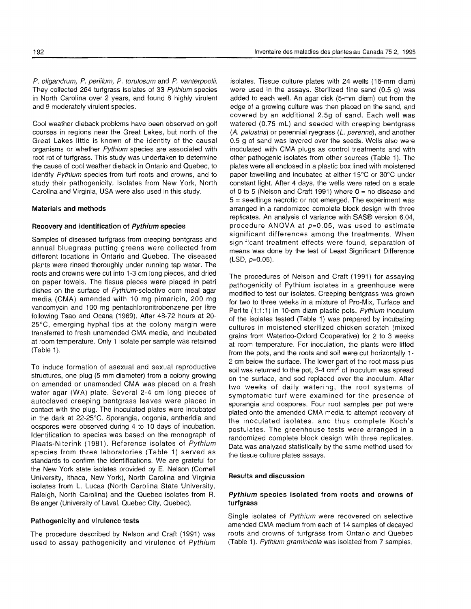P. oligandrum, P. periilum, P. torulosum and P. vanterpoolii. They collected 264 turfgrass isolates of 33 Pythium species in North Carolina over 2 years, and found 8 highly virulent and 9 moderately virulent species.

Cool weather dieback problems have been observed on golf courses in regions near the Great Lakes, but north of the Great Lakes little is known of the identity of the causal organisms or whether Pythium species are associated with root rot of turfgrass. This study was undertaken to determine the cause of cool weather dieback in Ontario and Quebec, to identify Pythium species from turf roots and crowns, and to study their pathogenicity. Isolates from New York, North Carolina and Virginia, USA were also used in this study.

## Materials and methods

## Recovery and identification of Pythium species

Samples of diseased turfgrass from creeping bentgrass and annual bluegrass putting greens were collected from different locations in Ontario and Quebec. The diseased plants were rinsed thoroughly under running tap water. The roots and crowns were cut into 1-3 cm long pieces, and dried on paper towels. The tissue pieces were placed in petri dishes on the surface of Pythium-selective corn meal agar media (CMA) amended with 10 mg pimaricin, 200 mg vancomycin and 100 mg pentachloronitrobenzene per litre following Tsao and Ocana (1969). After 48-72 hours at 20- 25°C, emerging hyphal tips at the colony margin were transferred to fresh unamended CMA media, and incubated at room temperature. Only 1 isolate per sample was retained (Table 1).

To induce formation of asexual and sexual reproductive structures, one plug (5 mm diameter) from a colony growing on amended or unamended CMA was placed on a fresh water agar (WA) plate. Several 2-4 cm long pieces of autoclaved creeping bentgrass leaves were placed in contact with the plug. The inoculated plates were incubated in the dark at 22-25°C. Sporangia, oogonia, antheridia and oospores were observed during 4 to 10 days of incubation. Identification to species was based on the monograph of Plaats-Niterink (1981). Reference isolates of Pythium species from three laboratories (Table 1) served as standards to confirm the identifications. We are grateful for the New York state isolates provided by E. Nelson (Cornell University, Ithaca, New York), North Carolina and Virginia isolates from L. Lucas (North Carolina State University, Raleigh, North Carolina) and the Quebec isolates from R. Belanger (University of Laval, Quebec City, Quebec).

# Pathogenicity and virulence tests

The procedure described by Nelson and Craft (1991) was used to assay pathogenicity and virulence of Pythium

isolates. Tissue culture plates with 24 wells (16-mm diam) were used in the assays. Sterilized fine sand (0.5 g) was added to each well. An agar disk (5-mm diam) cut from the edge of a growing culture was then placed on the sand, and covered by an additional 2.5g of sand. Each well was watered (0.75 mL) and seeded with creeping bentgrass (A. palustris) or perennial ryegrass (L. perenne), and another 0.5 g of sand was layered over the seeds. Wells also were inoculated with CMA plugs as control treatments and with other pathogenic isolates from other sources (Table 1). The plates were all enclosed in a plastic box lined with moistened paper towelling and incubated at either 15°C or 30°C under constant light. After 4 days, the wells were rated on a scale of 0 to 5 (Nelson and Craft 1991) where  $0 =$  no disease and  $5$  = seedlings necrotic or not emerged. The experiment was arranged in a randomized complete block design with three replicates. An analysis of variance with SAS® version 6.04, procedure ANOVA at  $p=0.05$ , was used to estimate significant differences among the treatments. When significant treatment effects were found, separation of means was done by the test of Least Significant Difference  $(LSD, p=0.05)$ .

The procedures of Nelson and Craft (1991) for assaying pathogenicity of Pythium isolates in a greenhouse were modified to test our isolates. Creeping bentgrass was grown for two to three weeks in a mixture of Pro-Mix, Turface and Perlite (1:1:1) in 10-cm diam plastic pots. Pythium inoculum of the isolates tested (Table 1) was prepared by incubating cultures in moistened sterilized chicken scratch (mixed grains from Waterloo-Oxford Cooperative) for 2 to 3 weeks at room temperature. For inoculation, the plants were lifted from the pots, and the roots and soil were cut horizontally 1 2 cm below the surface. The lower part of the root mass plus soil was returned to the pot,  $3-4$  cm<sup>2</sup> of inoculum was spread on the surface, and sod replaced over the inoculum, After two weeks of daily watering, the root systems of symptomatic turf were examined for the presence of sporangia and oospores. Four root samples per pot were plated onto the amended CMA media to attempt recovery of the inoculated isolates, and thus complete Koch's postulates, The greenhouse tests were arranged in a randomized complete block design with three replicates. Data was analyzed statistically by the same method used for the tissue culture plates assays.

#### Results and discussion

# Pythium species isolated from roots and crowns of turfgrass

Single isolates of Pythium were recovered on selective amended CMA medium from each of 14 samples of decayed roots and crowns of turfgrass from Ontario and Quebec (Table 1). Pythium graminicola was isolated from 7 samples,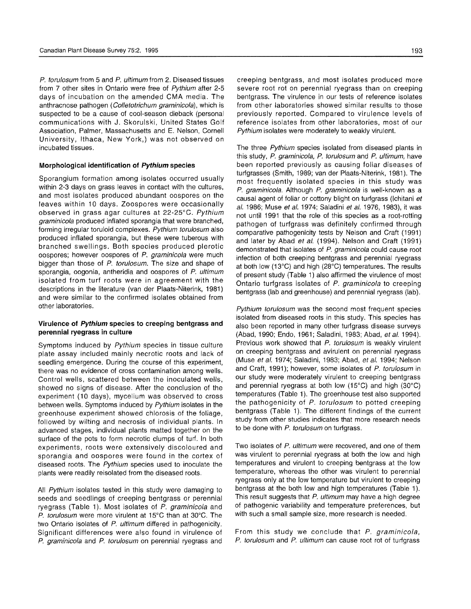P. torulosum from 5 and P. ultimum from 2. Diseased tissues from 7 other sites in Ontario were free of Pythium after 2-5 days of incubation on the amended CMA media. The anthracnose pathogen (Colletotrichum graminicola), which is suspected to be a cause of cool-season dieback (personal communications with J. Skorulski, United States Golf Association, Palmer, Massachusetts and E. Nelson, Cornell University, Ithaca, New York,) was not observed on incubated tissues.

#### **Morphological identification of Pythium species**

Sporangium formation among isolates occurred usually within 2-3 days on grass leaves in contact with the cultures, and most isolates produced abundant oospores on the leaves within 10 days. Zoospores were occasionally observed in grass agar cultures at 22-25°C. Pythium graminicola produced inflated sporangia that were branched, forming irregular toruloid complexes. Pythium torulosum also produced inflated sporangia, but these were tuberous with branched swellings. Both species produced plerotic oospores; however oospores of P. graminicola were much bigger than those of P. torulosum. The size and shape of sporangia, oogonia, antheridia and oospores of P. ultimum isolated from turf roots were in agreement with the descriptions in the literature (van der Plaats-Niterink, 1981) and were similar to the confirmed isolates obtained from other laboratories.

## **Virulence of pythium species to creeping bentgrass and perennial ryegrass in culture**

Symptoms induced by Pythium species in tissue culture plate assay included mainly necrotic roots and lack of seedling emergence. During the course of this experiment, there was no evidence of cross contamination among wells. Control wells, scattered between the inoculated wells, showed no signs of disease. After the conclusion of the experiment (10 days), mycelium was observed to cross between wells. Symptoms induced by Pythium isolates in the greenhouse experiment showed chlorosis of the foliage, followed by wilting and necrosis of individual plants. In advanced stages, individual plants matted together on the surface of the pots to form necrotic clumps of turf. In both experiments, roots were extensively discoloured and sporangia and oospores were found in the cortex of diseased roots. The Pyfhium species used to inoculate the plants were readily reisolated from the diseased roots.

All Pythium isolates tested in this study were damaging to seeds and seedlings of creeping bentgrass or perennial ryegrass (Table 1). Most isolates of P. graminicola and P. torulosum were more virulent at 15°C than at 30°C. The two Ontario isolates of P. ultimum differed in pathogenicity. Significant differences were also found in virulence of P. graminicola and P. torulosum on perennial ryegrass and creeping bentgrass, and most isolates produced more severe root rot on perennial ryegrass than on creeping bentgrass. The virulence in our tests of reference isolates from other laboratories showed similar results to those previously reported. Compared to virulence levels of reference isolates from other laboratories, most of our Pythium isolates were moderately to weakly virulent.

The three Pythium species isolated from diseased plants in this study, P. graminicola, P. torulosum and P. ultimum, have been reported previously as causing foliar diseases of turfgrasses (Smith, 1989; van der Plaats-Niterink, 1981). The most frequently isolated species in this study was P. graminicola. Although P. graminicola is well-known as a causal agent of foliar or cottony blight on turfgrass (Ichitani et al. 1986; Muse et al. 1974; Saladini et al. 1976, 1983), it was not until 1991 that the role of this species as a root-rotting pathogen of turfgrass was definitely confirmed through comparative pathogenicity tests by Nelson and Craft (1991) and later by Abad et al. (1994). Nelson and Craft (1991) demonstrated that isolates of P. graminicola could cause root infection of both creeping bentgrass and perennial ryegrass at both low (13°C) and high (28°C) temperatures. The results of present study (Table 1) also affirmed the virulence of most Ontario turfgrass isolates of P. graminicola to creeping bentgrass (lab and greenhouse) and perennial ryegrass (lab).

Pythium torulosum was the second most frequent species isolated from diseased roots in this study. This species has also been reported in many other turfgrass disease surveys (Abad, 1990; Endo, 1961; Saladini, 1983; Abad, et al. 1994). Previous work showed that P. torulosum is weakly virulent on creeping bentgrass and avirulent on perennial ryegrass (Muse et al. 1974; Saladini, 1983; Abad, et al. 1994; Nelson and Craft, 1991); however, some isolates of P. torulosum in our study were moderately virulent to creeping bentgrass and perennial ryegrass at both low (15°C) and high (30°C) temperatures (Table 1). The greenhouse test also supported the pathogenicity of P. torulosum to potted creeping bentgrass (Table 1). The different findings of the current study from other studies indicates that more research needs to be done with P. torulosum on turfgrass.

Two isolates of P. ultimum were recovered, and one of them was virulent to perennial ryegrass at both the low and high temperatures and virulent to creeping bentgrass at the low temperature, whereas the other was virulent to perennial ryegrass only at the low temperature but virulent to creeping bentgrass at the both low and high temperatures (Table 1). This result suggests that P. ultimum may have a high degree of pathogenic variability and temperature preferences, but with such a small sample size, more research is needed.

From this study we conclude that P. graminicola, P. torulosum and P. ultimum can cause root rot of turfgrass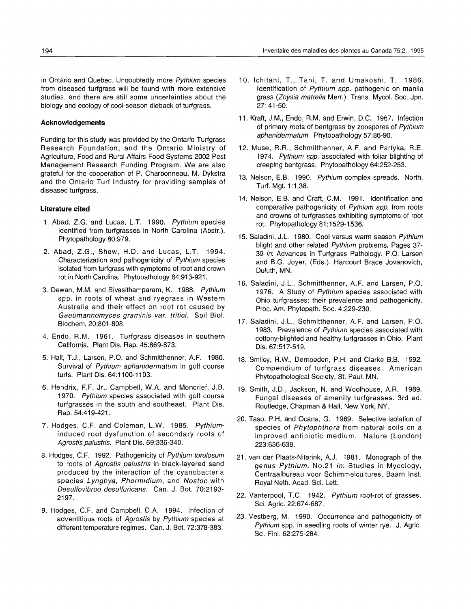in Ontario and Quebec. Undoubtedly more Pythium species from diseased turfgrass will be found with more extensive studies, and there are still some uncertainties about the biology and ecology of cool-season dieback of turfgrass.

# **Acknowledgements**

Funding for this study was provided by the Ontario Turfgrass Research Foundation, and the Ontario Ministry of Agriculture, Food and Rural Affairs Food Systems 2002 Pest Management Research Funding Program. We are also grateful for the cooperation of P. Charbonneau, M. Dykstra and the Ontario Turf Industry for providing samples of diseased turfgrass.

## **Literature cited**

- 1. Abad, Z.G. and Lucas, L.T. 1990. Pythium species identified from turfgrasses in North Carolina (Abstr.). Phytopathology 80:979.
- 2. Abad, Z.G., Shew, H.D. and Lucas, L.T. 1994. Characterization and pathogenicity of Pythium species isolated from turfgrass with symptoms of root and crown rot in North Carolina. Phytopathology 84:913-921.
- 3. Dewan, M.M. and Sivasithamparam, K. 1988. Pythium spp. in roots of wheat and ryegrass in Western Australia and their effect on root rot caused by Gaeumannomyces graminis var. tritici. Soil Biol. Biochem. 20:801-808.
- 4. Endo, R.M. 1961. Turfgrass diseases in southern California. Plant Dis. Rep. 45:869-873.
- 5. Hall, T.J., Larsen, P.O. and Schmitthenner, A.F. 1980. Survival of Pythium aphanidermatum in golf course turfs. Plant Dis. 64:1100-1103.
- 6. Hendrix, F.F. Jr., Campbell, W.A. and Moncrief, J.B. 1970. Pythium species associated with golf course turfgrasses in the south and southeast. Plant Dis. Rep. 54:419-421.
- 7. Hodges, C.F. and Coleman, L.W. 1985. Pythiuminduced root dysfunction of secondary roots of Agrostis palustris. Plant Dis. 69:336-340.
- 8. Hodges, C.F. 1992. Pathogenicity of Pythium torulosum to roots of Agrostis palustris in black-layered sand produced by the interaction of the cyanobacteria species Lyngbya, Phormidium, and Nostoc with Desulfovibroo desulfuricans. Can. J. Bot. 70:2193- 2197.
- 9. Hodges, C.F. and Campbell, D.A. 1994. Infection of adventitious roots of Agrostis by Pythium species at different temperature regimes. Can. J. Bot. 72:378-383.
- 10. Ichitani, T., Tani, T. and Umakoshi, T. 1986. Identification of Pythium spp. pathogenic on manila grass (Zoysia matrelia Merr.). Trans. Mycol. Soc. Jpn. 27: 41-50.
- 11. Kraft, J.M., Endo, RM. and Erwin, D.C. 1967. Infection of primary roots of bentgrass by zoospores of Pythium aphanidermatum. Phytopathology 57:86-90.
- 12. Muse, R.R., Schmitthenner, A.F. and Partyka, R.E. 1974. Pythium spp. associated with foliar blighting of creeping bentgrass. Phytopathology 64:252-253.
- 13. Nelson, E.B. 1990. Pythium complex spreads. North. Turf. Mgt. 1:1,38.
- 14. Nelson, E.B. and Craft, C.M. 1991. Identification and comparative pathogenicity of Pythium spp. from roots and crowns of turfgrasses exhibiting symptoms of root rot. Phytopathology 81:1529-1536.
- 15. Saladini, J.L. 1980. Cool versus warm season Pythium blight and other related Pythium problems. Pages 37-*39* in: Advances in Turfgrass Pathology. P.O. Larsen and B.G. Joyer, (Eds.). Harcourt Brace Jovanovich, Duluth, MN.
- 16. Saladini, J.L., Schmitthenner, A.F. and Larsen, P.O. 1976. A Study of Pythium species associated with Ohio turfgrasses: their prevalence and pathogenicity. Proc. Am. Phytopath. Soc. 4:229-230.
- 17. Saladini, J.L., Schmitthenner, A.F. and Larsen, P.O. 1983. Prevalence of Pythium species associated with cottony-blighted and healthy turfgrasses in Ohio. Plant Dis. 67:517-519.
- 18. Smiley, R.W., Dernoeden, P.H. and Clarke B.B. 1992. Compendium of turfgrass diseases. American Phytopathological Society, St. Paul. MN.
- 19. Smith, J.D., Jackson, N. and Woolhouse, A.R 1989. Fungal diseases of amenity turfgrasses. 3rd ed. Routledge, Chapman & Hall, New York, NY.
- 20. Taso, P.H. and Ocana, G. 1969. Selective isolation of species of Phytophthora from natural soils on a improved antibiotic medium. Nature (London) 223:636-638.
- 21. van der Plaats-Niterink, A.J. 1981. Monograph of the genus Pythium. No.21 in: Studies in Mycology, Centraalbureau voor Schimmelcultures, Baarn Inst. Royal Neth. Acad. Sci. Lett.
- 22. Vanterpool, T.C. 1942. Pythium root-rot of grasses. Sci. Agric. 22:674-687.
- 23. Vestberg, M. 1990. Occurrence and pathogenicity of Pythium spp. in seedling roots of winter rye. J. Agric. Sci. Fin!. 62:275-284.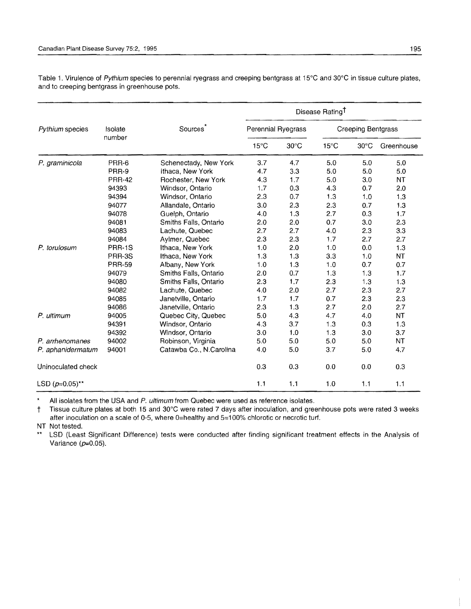| Pythium species    | Isolate<br>number | <b>Sources</b>          | Disease Rating <sup>T</sup> |                |                    |                |            |
|--------------------|-------------------|-------------------------|-----------------------------|----------------|--------------------|----------------|------------|
|                    |                   |                         | Perennial Ryegrass          |                | Creeping Bentgrass |                |            |
|                    |                   |                         | $15^{\circ}$ C              | $30^{\circ}$ C | $15^{\circ}$ C     | $30^{\circ}$ C | Greenhouse |
| P. graminicola     | PRR-6             | Schenectady, New York   | 3.7                         | 4.7            | 5.0                | 5.0            | 5.0        |
|                    | PRR-9             | Ithaca, New York        | 4.7                         | 3.3            | 5.0                | 5.0            | 5.0        |
|                    | <b>PRR-42</b>     | Rochester, New York     | 4.3                         | 1.7            | 5.0                | 3.0            | <b>NT</b>  |
|                    | 94393             | Windsor, Ontario        | 1.7                         | 0.3            | 4.3                | 0.7            | 2.0        |
|                    | 94394             | Windsor, Ontario        | 2.3                         | 0.7            | 1.3                | 1.0            | 1.3        |
|                    | 94077             | Allandale, Ontario      | 3.0                         | 2.3            | 2.3                | 0.7            | 1.3        |
|                    | 94078             | Guelph, Ontario         | 4.0                         | 1.3            | 2.7                | 0.3            | 1.7        |
|                    | 94081             | Smiths Falls, Ontario   | 2.0                         | 2.0            | 0.7                | 3.0            | 2.3        |
|                    | 94083             | Lachute, Quebec         | 2.7                         | 2.7            | 4.0                | 2.3            | 3.3        |
|                    | 94084             | Aylmer, Quebec          | 2.3                         | 2.3            | 1,7                | 2.7            | 2.7        |
| P. torulosum       | <b>PRR-1S</b>     | Ithaca, New York        | 1.0                         | 2.0            | 1.0                | 0.0            | 1.3        |
|                    | PRR-3S            | Ithaca, New York        | 1.3                         | 1.3            | 3.3                | 1.0            | NT         |
|                    | <b>PRR-59</b>     | Albany, New York        | 1.0                         | 1.3            | 1.0                | 0.7            | 0.7        |
|                    | 94079             | Smiths Falls, Ontario   | 2.0                         | 0.7            | 1.3                | 1.3            | 1.7        |
|                    | 94080             | Smiths Falls, Ontario   | 2.3                         | 1.7            | 2.3                | 1.3            | 1.3        |
|                    | 94082             | Lachute, Quebec         | 4.0                         | 2.0            | 2.7                | 2.3            | 2.7        |
|                    | 94085             | Janetville, Ontario     | 1,7                         | 1.7            | 0.7                | 2.3            | 2.3        |
|                    | 94086             | Janetville, Ontario     | 2.3                         | 1.3            | 2.7                | 2.0            | 2.7        |
| P. ultimum         | 94005             | Quebec City, Quebec     | 5.0                         | 4.3            | 4.7                | 4.0            | NT         |
|                    | 94391             | Windsor, Ontario        | 4.3                         | 3.7            | 1.3                | 0.3            | 1.3        |
|                    | 94392             | Windsor, Ontario        | 3.0                         | 1.0            | 1.3                | 3.0            | 3.7        |
| P. arrhenomanes    | 94002             | Robinson, Virginia      | 5.0                         | 5.0            | 5.0                | 5.0            | NT         |
| P. aphanidermatum  | 94001             | Catawba Co., N.Carolina | 4.0                         | 5.0            | 3.7                | 5.0            | 4.7        |
| Uninoculated check |                   |                         | 0.3                         | 0.3            | 0.0                | 0.0            | 0.3        |
| LSD $(p=0.05)$ **  |                   |                         | 1.1                         | 1.1            | 1.0                | 1.1            | 1.1        |

Table 1. Virulence of *Pythium* species to perennial ryegrass and creeping bentgrass at 15°C and 30°C in tissue culture plates, and to creeping bentgrass in greenhouse pots.

All isolates from the USA and P. ultimum from Quebec were used as reference isolates.

† Tissue culture plates at both 15 and 30°C were rated 7 days after inoculation, and greenhouse pots were rated 3 weeks after inoculation on a scale of 0-5, where O=healthy and 5=100% chlorotic or necrotic turf.

NT Not tested.

\*\* LSD (Least Significant Difference) tests were conducted after finding significant treatment effects in the Analysis of Variance  $(p=0.05)$ .